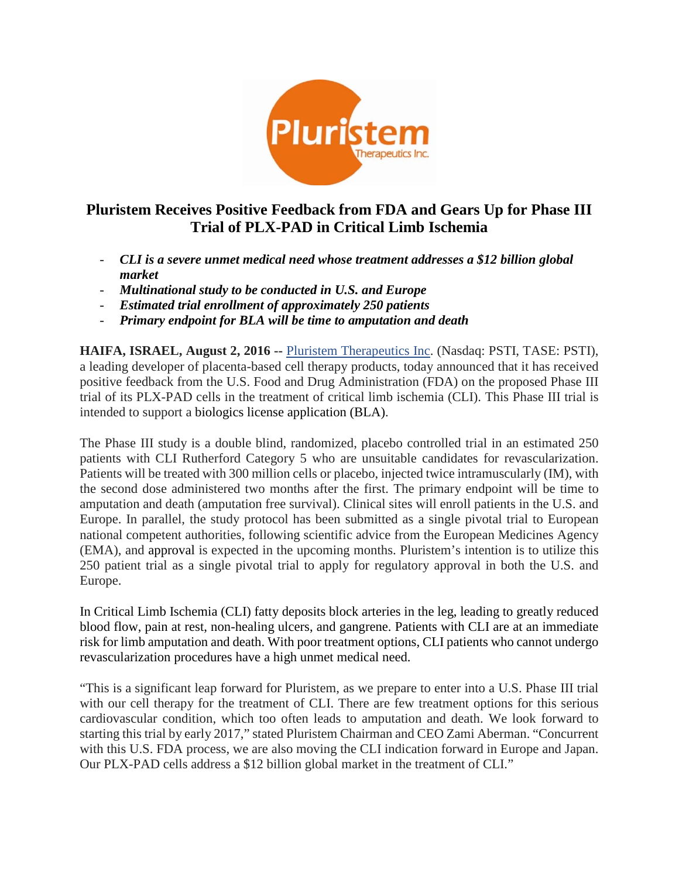

# **Pluristem Receives Positive Feedback from FDA and Gears Up for Phase III Trial of PLX-PAD in Critical Limb Ischemia**

- *CLI is a severe unmet medical need whose treatment addresses a \$12 billion global market*
- *Multinational study to be conducted in U.S. and Europe*
- *Estimated trial enrollment of approximately 250 patients*
- *Primary endpoint for BLA will be time to amputation and death*

**HAIFA, ISRAEL, August 2, 2016 --** [Pluristem Therapeutics Inc.](http://www.pluristem.com/) (Nasdaq: PSTI, TASE: PSTI), a leading developer of placenta-based cell therapy products, today announced that it has received positive feedback from the U.S. Food and Drug Administration (FDA) on the proposed Phase III trial of its PLX-PAD cells in the treatment of critical limb ischemia (CLI). This Phase III trial is intended to support a biologics license application (BLA).

The Phase III study is a double blind, randomized, placebo controlled trial in an estimated 250 patients with CLI Rutherford Category 5 who are unsuitable candidates for revascularization. Patients will be treated with 300 million cells or placebo, injected twice intramuscularly (IM), with the second dose administered two months after the first. The primary endpoint will be time to amputation and death (amputation free survival). Clinical sites will enroll patients in the U.S. and Europe. In parallel, the study protocol has been submitted as a single pivotal trial to European national competent authorities, following scientific advice from the European Medicines Agency (EMA), and approval is expected in the upcoming months. Pluristem's intention is to utilize this 250 patient trial as a single pivotal trial to apply for regulatory approval in both the U.S. and Europe.

In Critical Limb Ischemia (CLI) fatty deposits block arteries in the leg, leading to greatly reduced blood flow, pain at rest, non-healing ulcers, and gangrene. Patients with CLI are at an immediate risk for limb amputation and death. With poor treatment options, CLI patients who cannot undergo revascularization procedures have a high unmet medical need.

"This is a significant leap forward for Pluristem, as we prepare to enter into a U.S. Phase III trial with our cell therapy for the treatment of CLI. There are few treatment options for this serious cardiovascular condition, which too often leads to amputation and death. We look forward to starting this trial by early 2017," stated Pluristem Chairman and CEO Zami Aberman. "Concurrent with this U.S. FDA process, we are also moving the CLI indication forward in Europe and Japan. Our PLX-PAD cells address a \$12 billion global market in the treatment of CLI."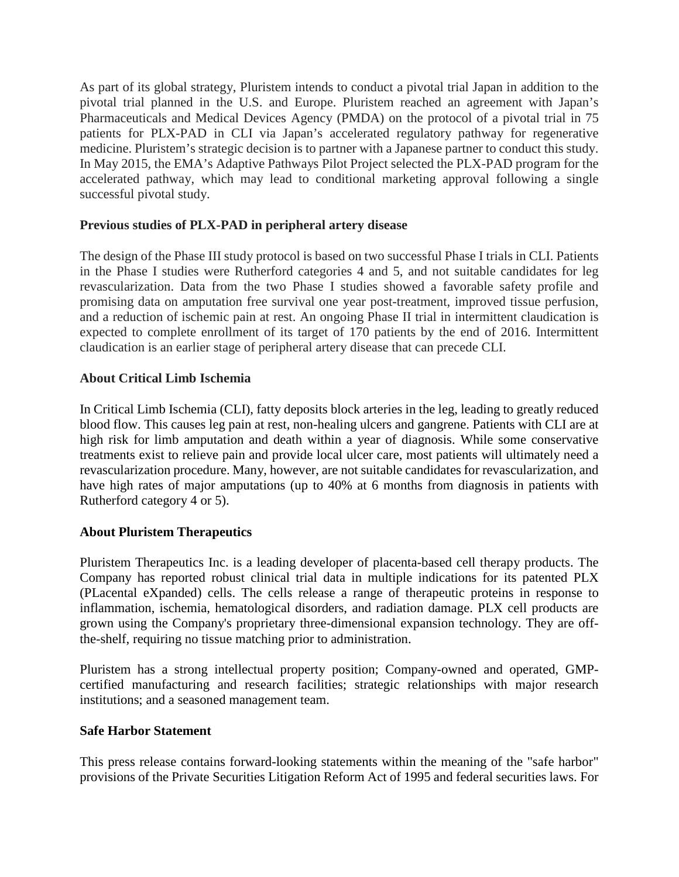As part of its global strategy, Pluristem intends to conduct a pivotal trial Japan in addition to the pivotal trial planned in the U.S. and Europe. Pluristem reached an agreement with Japan's Pharmaceuticals and Medical Devices Agency (PMDA) on the protocol of a pivotal trial in 75 patients for PLX-PAD in CLI via Japan's accelerated regulatory pathway for regenerative medicine. Pluristem's strategic decision is to partner with a Japanese partner to conduct this study. In May 2015, the EMA's Adaptive Pathways Pilot Project selected the PLX-PAD program for the accelerated pathway, which may lead to conditional marketing approval following a single successful pivotal study.

### **Previous studies of PLX-PAD in peripheral artery disease**

The design of the Phase III study protocol is based on two successful Phase I trials in CLI. Patients in the Phase I studies were Rutherford categories 4 and 5, and not suitable candidates for leg revascularization. Data from the two Phase I studies showed a favorable safety profile and promising data on amputation free survival one year post-treatment, improved tissue perfusion, and a reduction of ischemic pain at rest. An ongoing Phase II trial in intermittent claudication is expected to complete enrollment of its target of 170 patients by the end of 2016. Intermittent claudication is an earlier stage of peripheral artery disease that can precede CLI.

### **About Critical Limb Ischemia**

In Critical Limb Ischemia (CLI), fatty deposits block arteries in the leg, leading to greatly reduced blood flow. This causes leg pain at rest, non-healing ulcers and gangrene. Patients with CLI are at high risk for limb amputation and death within a year of diagnosis. While some conservative treatments exist to relieve pain and provide local ulcer care, most patients will ultimately need a revascularization procedure. Many, however, are not suitable candidates for revascularization, and have high rates of major amputations (up to 40% at 6 months from diagnosis in patients with Rutherford category 4 or 5).

## **About Pluristem Therapeutics**

Pluristem Therapeutics Inc. is a leading developer of placenta-based cell therapy products. The Company has reported robust clinical trial data in multiple indications for its patented PLX (PLacental eXpanded) cells. The cells release a range of therapeutic proteins in response to inflammation, ischemia, hematological disorders, and radiation damage. PLX cell products are grown using the Company's proprietary three-dimensional expansion technology. They are offthe-shelf, requiring no tissue matching prior to administration.

Pluristem has a strong intellectual property position; Company-owned and operated, GMPcertified manufacturing and research facilities; strategic relationships with major research institutions; and a seasoned management team.

#### **Safe Harbor Statement**

This press release contains forward-looking statements within the meaning of the "safe harbor" provisions of the Private Securities Litigation Reform Act of 1995 and federal securities laws. For